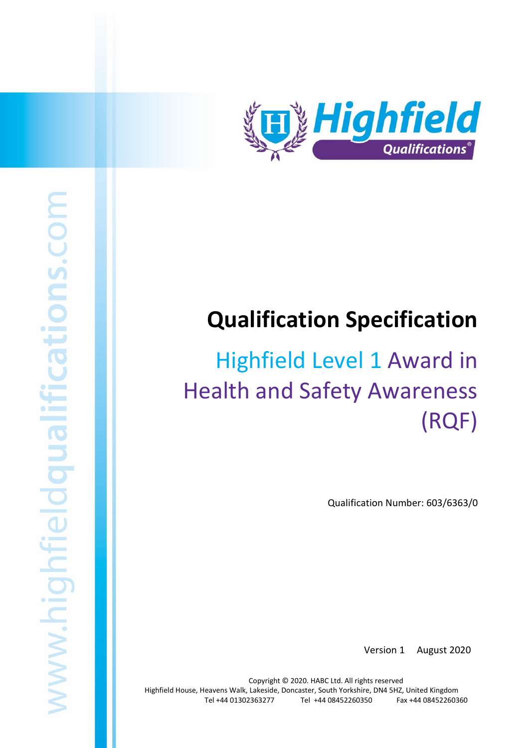

# **Qualification Specification**

# Highfield Level 1 Award in Health and Safety Awareness (RQF)

Qualification Number: 603/6363/0

Version 1 August 2020

Copyright © 2020. HABC Ltd. All rights reserved Highfield House, Heavens Walk, Lakeside, Doncaster, South Yorkshire, DN4 5HZ, United Kingdom Tel +44 01302363277 Tel +44 08452260350 Fax +44 08452260360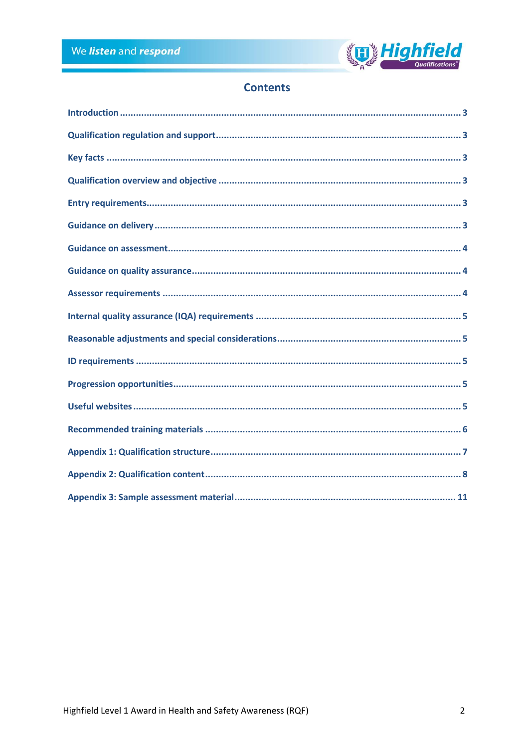

# **Contents**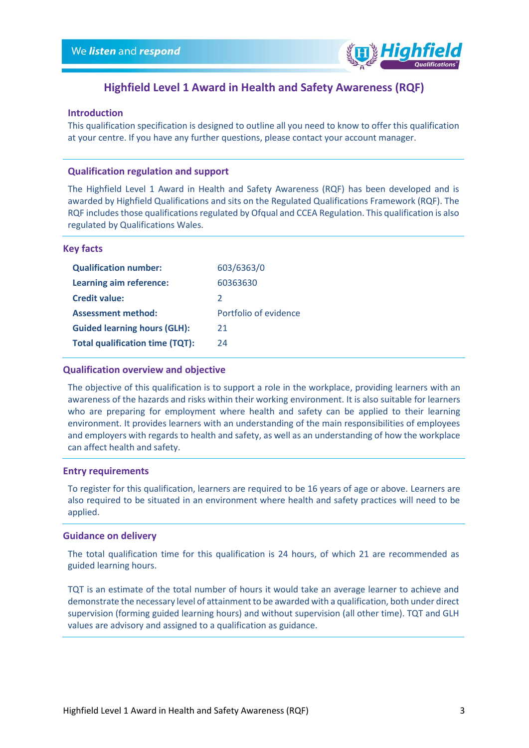

## **Highfield Level 1 Award in Health and Safety Awareness (RQF)**

#### <span id="page-2-0"></span>**Introduction**

This qualification specification is designed to outline all you need to know to offer this qualification at your centre. If you have any further questions, please contact your account manager.

#### <span id="page-2-1"></span>**Qualification regulation and support**

The Highfield Level 1 Award in Health and Safety Awareness (RQF) has been developed and is awarded by Highfield Qualifications and sits on the Regulated Qualifications Framework (RQF). The RQF includes those qualifications regulated by Ofqual and CCEA Regulation. This qualification is also regulated by Qualifications Wales.

#### <span id="page-2-2"></span>**Key facts**

| 603/6363/0            |
|-----------------------|
| 60363630              |
| $\mathcal{L}$         |
| Portfolio of evidence |
| 21                    |
| 24                    |
|                       |

#### <span id="page-2-3"></span>**Qualification overview and objective**

The objective of this qualification is to support a role in the workplace, providing learners with an awareness of the hazards and risks within their working environment. It is also suitable for learners who are preparing for employment where health and safety can be applied to their learning environment. It provides learners with an understanding of the main responsibilities of employees and employers with regards to health and safety, as well as an understanding of how the workplace can affect health and safety.

#### <span id="page-2-4"></span>**Entry requirements**

To register for this qualification, learners are required to be 16 years of age or above. Learners are also required to be situated in an environment where health and safety practices will need to be applied.

#### <span id="page-2-5"></span>**Guidance on delivery**

The total qualification time for this qualification is 24 hours, of which 21 are recommended as guided learning hours.

<span id="page-2-6"></span>TQT is an estimate of the total number of hours it would take an average learner to achieve and demonstrate the necessary level of attainment to be awarded with a qualification, both under direct supervision (forming guided learning hours) and without supervision (all other time). TQT and GLH values are advisory and assigned to a qualification as guidance.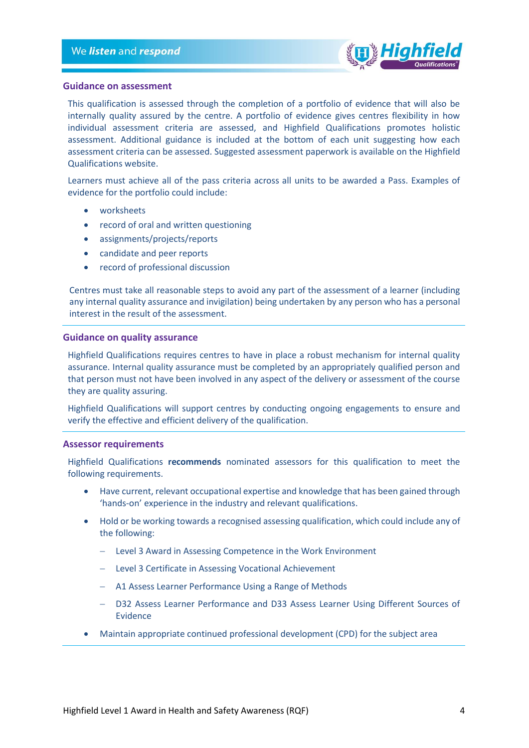

#### **Guidance on assessment**

This qualification is assessed through the completion of a portfolio of evidence that will also be internally quality assured by the centre. A portfolio of evidence gives centres flexibility in how individual assessment criteria are assessed, and Highfield Qualifications promotes holistic assessment. Additional guidance is included at the bottom of each unit suggesting how each assessment criteria can be assessed. Suggested assessment paperwork is available on the Highfield Qualifications website.

Learners must achieve all of the pass criteria across all units to be awarded a Pass. Examples of evidence for the portfolio could include:

- worksheets
- record of oral and written questioning
- assignments/projects/reports
- candidate and peer reports
- record of professional discussion

Centres must take all reasonable steps to avoid any part of the assessment of a learner (including any internal quality assurance and invigilation) being undertaken by any person who has a personal interest in the result of the assessment.

#### <span id="page-3-0"></span>**Guidance on quality assurance**

Highfield Qualifications requires centres to have in place a robust mechanism for internal quality assurance. Internal quality assurance must be completed by an appropriately qualified person and that person must not have been involved in any aspect of the delivery or assessment of the course they are quality assuring.

Highfield Qualifications will support centres by conducting ongoing engagements to ensure and verify the effective and efficient delivery of the qualification.

#### <span id="page-3-1"></span>**Assessor requirements**

Highfield Qualifications **recommends** nominated assessors for this qualification to meet the following requirements.

- Have current, relevant occupational expertise and knowledge that has been gained through 'hands-on' experience in the industry and relevant qualifications.
- Hold or be working towards a recognised assessing qualification, which could include any of the following:
	- − Level 3 Award in Assessing Competence in the Work Environment
	- − Level 3 Certificate in Assessing Vocational Achievement
	- − A1 Assess Learner Performance Using a Range of Methods
	- − D32 Assess Learner Performance and D33 Assess Learner Using Different Sources of Evidence
- Maintain appropriate continued professional development (CPD) for the subject area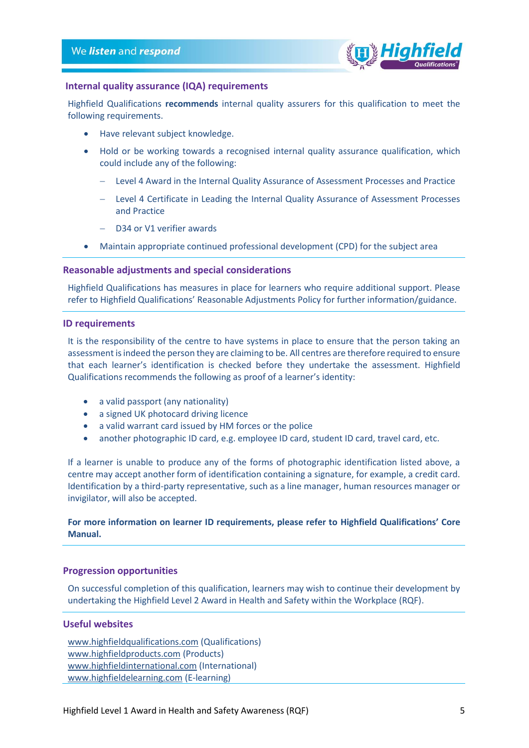

### <span id="page-4-0"></span>**Internal quality assurance (IQA) requirements**

Highfield Qualifications **recommends** internal quality assurers for this qualification to meet the following requirements.

- Have relevant subject knowledge.
- Hold or be working towards a recognised internal quality assurance qualification, which could include any of the following:
	- − Level 4 Award in the Internal Quality Assurance of Assessment Processes and Practice
	- − Level 4 Certificate in Leading the Internal Quality Assurance of Assessment Processes and Practice
	- D34 or V1 verifier awards
- Maintain appropriate continued professional development (CPD) for the subject area

#### <span id="page-4-1"></span>**Reasonable adjustments and special considerations**

Highfield Qualifications has measures in place for learners who require additional support. Please refer to Highfield Qualifications' Reasonable Adjustments Policy for further information/guidance.

#### <span id="page-4-2"></span>**ID requirements**

It is the responsibility of the centre to have systems in place to ensure that the person taking an assessment is indeed the person they are claiming to be. All centres are therefore required to ensure that each learner's identification is checked before they undertake the assessment. Highfield Qualifications recommends the following as proof of a learner's identity:

- a valid passport (any nationality)
- a signed UK photocard driving licence
- a valid warrant card issued by HM forces or the police
- another photographic ID card, e.g. employee ID card, student ID card, travel card, etc.

If a learner is unable to produce any of the forms of photographic identification listed above, a centre may accept another form of identification containing a signature, for example, a credit card. Identification by a third-party representative, such as a line manager, human resources manager or invigilator, will also be accepted.

#### **For more information on learner ID requirements, please refer to Highfield Qualifications' Core Manual.**

#### <span id="page-4-3"></span>**Progression opportunities**

On successful completion of this qualification, learners may wish to continue their development by undertaking the Highfield Level 2 Award in Health and Safety within the Workplace (RQF).

#### <span id="page-4-4"></span>**Useful websites**

[www.highfieldqualifications.com](http://www.highfieldqualifications.com/) (Qualifications) [www.highfieldproducts.com](http://www.highfieldproducts.com/) (Products) [www.highfieldinternational.com](http://www.highfieldinternational.com/) (International) [www.highfieldelearning.com](http://www.highfieldelearning.com/) (E-learning)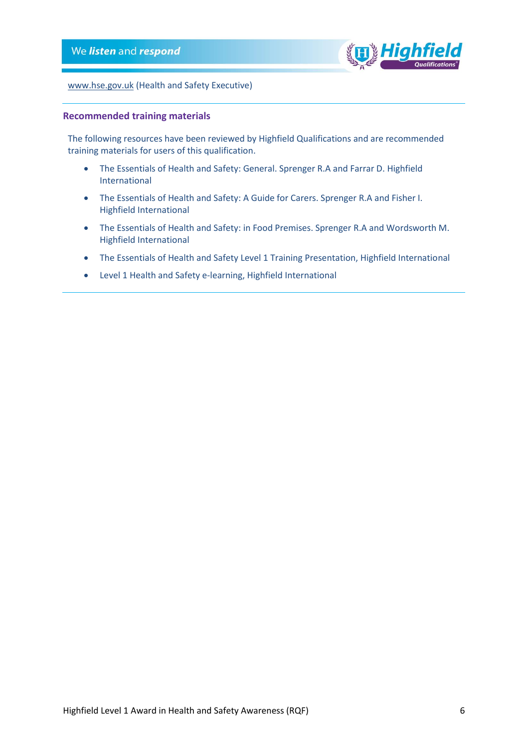

[www.hse.gov.uk](http://www.hse.gov.uk/) (Health and Safety Executive)

#### <span id="page-5-0"></span>**Recommended training materials**

The following resources have been reviewed by Highfield Qualifications and are recommended training materials for users of this qualification.

- The Essentials of Health and Safety: General. Sprenger R.A and Farrar D. Highfield International
- The Essentials of Health and Safety: A Guide for Carers. Sprenger R.A and Fisher I. Highfield International
- The Essentials of Health and Safety: in Food Premises. Sprenger R.A and Wordsworth M. Highfield International
- The Essentials of Health and Safety Level 1 Training Presentation, Highfield International
- Level 1 Health and Safety e-learning, Highfield International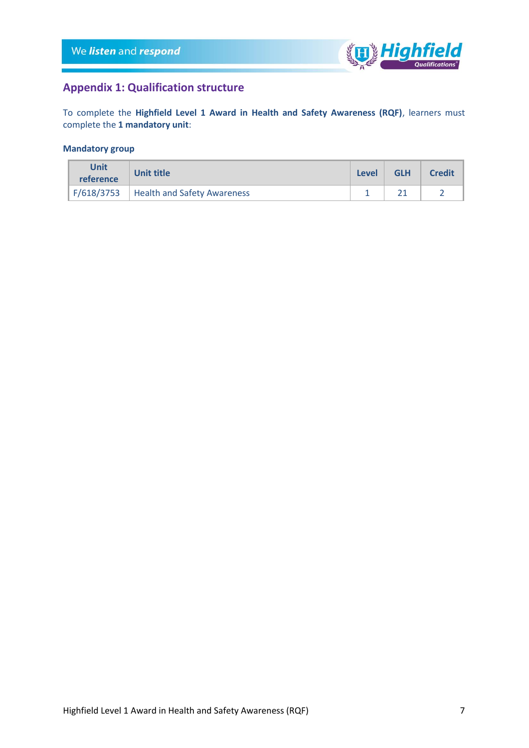

## <span id="page-6-0"></span>**Appendix 1: Qualification structure**

To complete the **Highfield Level 1 Award in Health and Safety Awareness (RQF)**, learners must complete the **1 mandatory unit**:

### **Mandatory group**

| Unit<br>reference | Unit title                               | Level | <b>GLH</b> | <b>Credit</b> |
|-------------------|------------------------------------------|-------|------------|---------------|
|                   | F/618/3753   Health and Safety Awareness |       |            |               |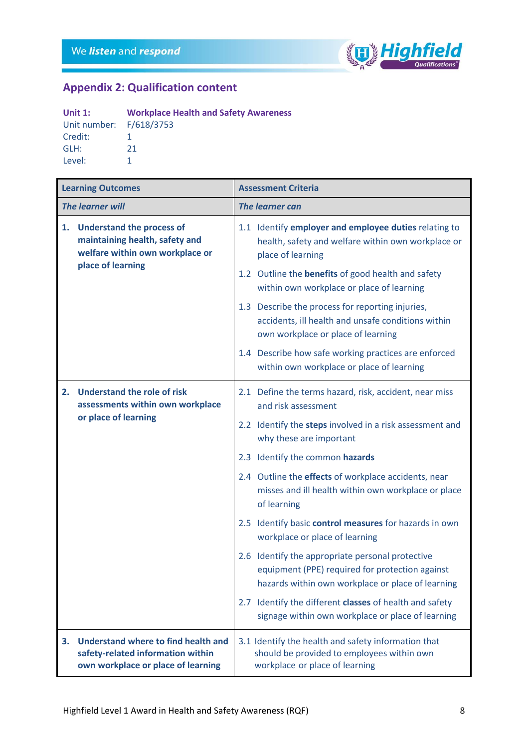r



# <span id="page-7-0"></span>**Appendix 2: Qualification content**

| Unit $1$ :              | <b>Workplace Health and Safety Awareness</b> |
|-------------------------|----------------------------------------------|
| Unit number: F/618/3753 |                                              |
| Credit:                 |                                              |
| GLH:                    | 21                                           |
| Level:                  |                                              |

|                         | <b>Learning Outcomes</b>                                                                                                   | <b>Assessment Criteria</b>                                                                                                                               |
|-------------------------|----------------------------------------------------------------------------------------------------------------------------|----------------------------------------------------------------------------------------------------------------------------------------------------------|
| <b>The learner will</b> |                                                                                                                            | <b>The learner can</b>                                                                                                                                   |
| 1.                      | <b>Understand the process of</b><br>maintaining health, safety and<br>welfare within own workplace or<br>place of learning | 1.1 Identify employer and employee duties relating to<br>health, safety and welfare within own workplace or<br>place of learning                         |
|                         |                                                                                                                            | 1.2 Outline the <b>benefits</b> of good health and safety<br>within own workplace or place of learning                                                   |
|                         |                                                                                                                            | 1.3 Describe the process for reporting injuries,<br>accidents, ill health and unsafe conditions within<br>own workplace or place of learning             |
|                         |                                                                                                                            | 1.4 Describe how safe working practices are enforced<br>within own workplace or place of learning                                                        |
| 2.                      | <b>Understand the role of risk</b><br>assessments within own workplace<br>or place of learning                             | 2.1 Define the terms hazard, risk, accident, near miss<br>and risk assessment                                                                            |
|                         |                                                                                                                            | 2.2 Identify the steps involved in a risk assessment and<br>why these are important                                                                      |
|                         |                                                                                                                            | 2.3 Identify the common hazards                                                                                                                          |
|                         |                                                                                                                            | 2.4 Outline the effects of workplace accidents, near<br>misses and ill health within own workplace or place<br>of learning                               |
|                         |                                                                                                                            | 2.5 Identify basic control measures for hazards in own<br>workplace or place of learning                                                                 |
|                         |                                                                                                                            | 2.6 Identify the appropriate personal protective<br>equipment (PPE) required for protection against<br>hazards within own workplace or place of learning |
|                         |                                                                                                                            | 2.7 Identify the different classes of health and safety<br>signage within own workplace or place of learning                                             |
| 3.                      | Understand where to find health and<br>safety-related information within<br>own workplace or place of learning             | 3.1 Identify the health and safety information that<br>should be provided to employees within own<br>workplace or place of learning                      |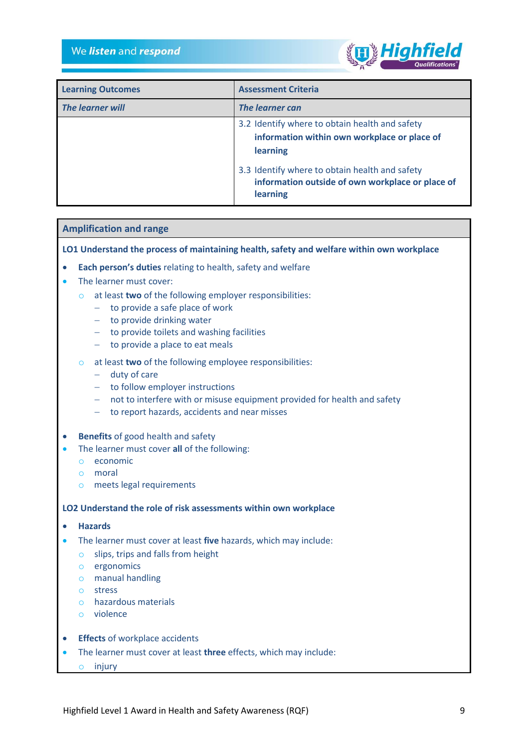

| <b>Learning Outcomes</b> | <b>Assessment Criteria</b>                                                                                     |
|--------------------------|----------------------------------------------------------------------------------------------------------------|
| <b>The learner will</b>  | <b>The learner can</b>                                                                                         |
|                          | 3.2 Identify where to obtain health and safety                                                                 |
|                          | information within own workplace or place of                                                                   |
|                          | learning                                                                                                       |
|                          | 3.3 Identify where to obtain health and safety<br>information outside of own workplace or place of<br>learning |

#### **Amplification and range**

**LO1 Understand the process of maintaining health, safety and welfare within own workplace**

- **Each person's duties** relating to health, safety and welfare
- The learner must cover:
	- o at least **two** of the following employer responsibilities:
		- − to provide a safe place of work
		- − to provide drinking water
		- − to provide toilets and washing facilities
		- − to provide a place to eat meals
	- o at least **two** of the following employee responsibilities:
		- − duty of care
		- − to follow employer instructions
		- − not to interfere with or misuse equipment provided for health and safety
		- − to report hazards, accidents and near misses
- **Benefits** of good health and safety
- The learner must cover **all** of the following:
	- o economic
	- o moral
	- o meets legal requirements

#### **LO2 Understand the role of risk assessments within own workplace**

- **Hazards**
- The learner must cover at least **five** hazards, which may include:
	- o slips, trips and falls from height
	- o ergonomics
	- o manual handling
	- o stress
	- o hazardous materials
	- o violence
- **Effects** of workplace accidents
- The learner must cover at least **three** effects, which may include:
	- o injury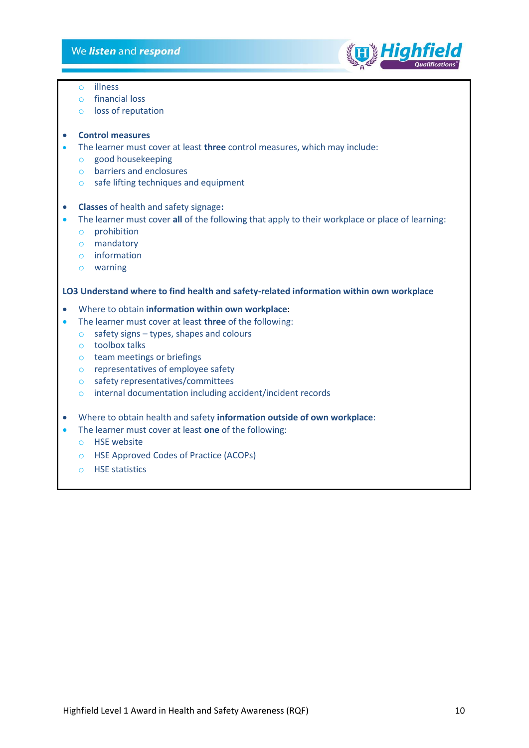

- o illness
- o financial loss
- o loss of reputation

#### • **Control measures**

- The learner must cover at least **three** control measures, which may include:
	- o good housekeeping
	- o barriers and enclosures
	- o safe lifting techniques and equipment
- **Classes** of health and safety signage**:**
- The learner must cover **all** of the following that apply to their workplace or place of learning:
	- o prohibition
	- o mandatory
	- o information
	- o warning

#### **LO3 Understand where to find health and safety-related information within own workplace**

- Where to obtain **information within own workplace**:
- The learner must cover at least **three** of the following:
	- $\circ$  safety signs types, shapes and colours
	- o toolbox talks
	- o team meetings or briefings
	- o representatives of employee safety
	- o safety representatives/committees
	- o internal documentation including accident/incident records
- Where to obtain health and safety **information outside of own workplace**:
- <span id="page-9-0"></span>• The learner must cover at least **one** of the following:
	- o HSE website
	- o HSE Approved Codes of Practice (ACOPs)
	- o HSE statistics